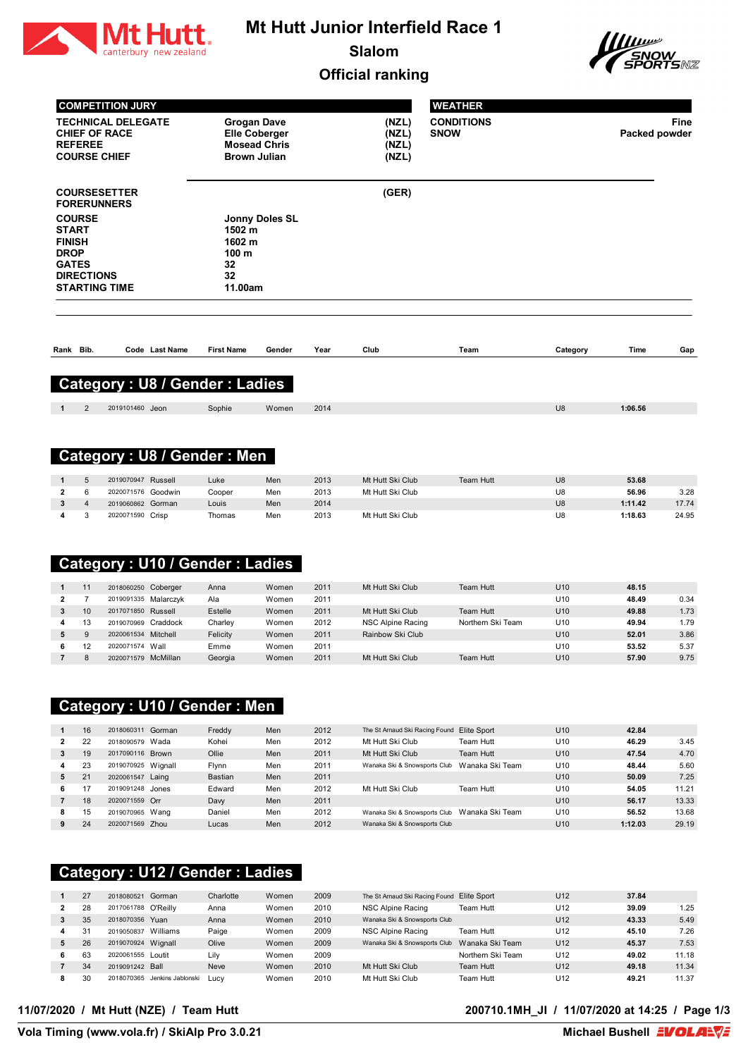

# **Mt Hutt Junior Interfield Race 1**

**Slalom**





|                                                                                                                            |                      | <b>COMPETITION JURY</b>                                                  |                                                                    |                                                                                          |                |              |                                                              | <b>WEATHER</b>    |                        |                  |                |
|----------------------------------------------------------------------------------------------------------------------------|----------------------|--------------------------------------------------------------------------|--------------------------------------------------------------------|------------------------------------------------------------------------------------------|----------------|--------------|--------------------------------------------------------------|-------------------|------------------------|------------------|----------------|
|                                                                                                                            | <b>REFEREE</b>       | <b>TECHNICAL DELEGATE</b><br><b>CHIEF OF RACE</b><br><b>COURSE CHIEF</b> |                                                                    | <b>Grogan Dave</b><br><b>Elle Coberger</b><br><b>Mosead Chris</b><br><b>Brown Julian</b> |                |              | (NZL)<br>(NZL)<br><b>SNOW</b><br>(NZL)<br>(NZL)              | <b>CONDITIONS</b> |                        | Packed powder    | Fine           |
|                                                                                                                            |                      | <b>COURSESETTER</b><br><b>FORERUNNERS</b>                                |                                                                    |                                                                                          |                |              | (GER)                                                        |                   |                        |                  |                |
| <b>COURSE</b><br><b>START</b><br><b>FINISH</b><br><b>DROP</b><br><b>GATES</b><br><b>DIRECTIONS</b><br><b>STARTING TIME</b> |                      |                                                                          | Jonny Doles SL<br>1502 m<br>1602 m<br>100 m<br>32<br>32<br>11.00am |                                                                                          |                |              |                                                              |                   |                        |                  |                |
| Rank Bib.                                                                                                                  |                      |                                                                          | Code Last Name                                                     | <b>First Name</b>                                                                        | Gender         | Year         | Club                                                         | Team              | Category               | Time             | Gap            |
|                                                                                                                            |                      |                                                                          |                                                                    | <b>Category: U8 / Gender: Ladies</b>                                                     |                |              |                                                              |                   |                        |                  |                |
| 1                                                                                                                          | 2                    | 2019101460 Jeon                                                          |                                                                    | Sophie                                                                                   | Women          | 2014         |                                                              |                   | U8                     | 1:06.56          |                |
|                                                                                                                            |                      |                                                                          |                                                                    |                                                                                          |                |              |                                                              |                   |                        |                  |                |
|                                                                                                                            |                      |                                                                          |                                                                    | <b>Category: U8 / Gender: Men</b>                                                        |                |              |                                                              |                   |                        |                  |                |
| 1                                                                                                                          | 5                    | 2019070947 Russell                                                       |                                                                    | Luke                                                                                     | Men            | 2013         | Mt Hutt Ski Club                                             | Team Hutt         | U8                     | 53.68            |                |
| $\mathbf{2}$                                                                                                               | 6                    | 2020071576 Goodwin                                                       |                                                                    | Cooper                                                                                   | Men            | 2013         | Mt Hutt Ski Club                                             |                   | U8                     | 56.96            | 3.28           |
| 3                                                                                                                          | 4                    | 2019060862 Gorman                                                        |                                                                    | Louis                                                                                    | Men            | 2014         |                                                              |                   | U8                     | 1:11.42          | 17.74          |
| 4                                                                                                                          | 3                    | 2020071590 Crisp                                                         |                                                                    | Thomas<br><b>Category: U10 / Gender: Ladies</b>                                          | Men            | 2013         | Mt Hutt Ski Club                                             |                   | U8                     | 1:18.63          | 24.95          |
|                                                                                                                            |                      |                                                                          |                                                                    |                                                                                          |                |              |                                                              |                   |                        |                  |                |
| 1                                                                                                                          | 11                   | 2018060250 Coberger                                                      |                                                                    | Anna                                                                                     | Women          | 2011         | Mt Hutt Ski Club                                             | <b>Team Hutt</b>  | U10                    | 48.15            |                |
| $\overline{\mathbf{2}}$<br>3                                                                                               | $\overline{7}$<br>10 | 2019091335 Malarczyk<br>2017071850 Russell                               |                                                                    | Ala<br>Estelle                                                                           | Women<br>Women | 2011<br>2011 | Mt Hutt Ski Club                                             | <b>Team Hutt</b>  | U10<br>U <sub>10</sub> | 48.49<br>49.88   | 0.34<br>1.73   |
| 4                                                                                                                          | 13                   | 2019070969 Craddock                                                      |                                                                    | Charley                                                                                  | Women          | 2012         | NSC Alpine Racing                                            | Northern Ski Team | U10                    | 49.94            | 1.79           |
| 5                                                                                                                          | 9                    | 2020061534 Mitchell                                                      |                                                                    | Felicity                                                                                 | Women          | 2011         | Rainbow Ski Club                                             |                   | U10                    | 52.01            | 3.86           |
| 6                                                                                                                          | 12                   | 2020071574 Wall                                                          |                                                                    | Emme                                                                                     | Women          | 2011         |                                                              |                   | U10                    | 53.52            | 5.37           |
|                                                                                                                            | 8                    | 2020071579 McMillan                                                      |                                                                    | Georgia                                                                                  | Women          | 2011         | Mt Hutt Ski Club                                             | Team Hutt         | U10                    | 57.90            | 9.75           |
|                                                                                                                            |                      |                                                                          |                                                                    | <b>Category: U10 / Gender: Men</b>                                                       |                |              |                                                              |                   |                        |                  |                |
| $\mathbf{1}$                                                                                                               | 16                   | 2018060311 Gorman                                                        |                                                                    | Freddy                                                                                   | Men            | 2012         | The St Arnaud Ski Racing Found Elite Sport                   |                   | U10                    | 42.84            |                |
| $\mathbf{2}$                                                                                                               | 22                   | 2018090579 Wada                                                          |                                                                    | Kohei                                                                                    | Men            | 2012         | Mt Hutt Ski Club                                             | Team Hutt         | U10                    | 46.29            | 3.45           |
| 3                                                                                                                          | 19                   | 2017090116 Brown                                                         |                                                                    | Ollie                                                                                    | Men            | 2011         | Mt Hutt Ski Club                                             | Team Hutt         | U10                    | 47.54            | 4.70           |
| 4                                                                                                                          | 23                   | 2019070925 Wignall                                                       |                                                                    | Flynn                                                                                    | Men            | 2011         | Wanaka Ski & Snowsports Club Wanaka Ski Team                 |                   | U10                    | 48.44            | 5.60           |
| 5                                                                                                                          | 21                   | 2020061547 Laing                                                         |                                                                    | <b>Bastian</b>                                                                           | Men            | 2011         |                                                              |                   | U10                    | 50.09            | 7.25           |
| 6                                                                                                                          | 17                   | 2019091248 Jones                                                         |                                                                    | Edward                                                                                   | Men            | 2012         | Mt Hutt Ski Club                                             | Team Hutt         | U10                    | 54.05            | 11.21          |
| $\overline{7}$                                                                                                             | 18                   | 2020071559 Orr                                                           |                                                                    | Davy                                                                                     | Men            | 2011         |                                                              |                   | U10                    | 56.17            | 13.33          |
| 8<br>9                                                                                                                     | 15<br>24             | 2019070965 Wang<br>2020071569 Zhou                                       |                                                                    | Daniel<br>Lucas                                                                          | Men<br>Men     | 2012<br>2012 | Wanaka Ski & Snowsports Club<br>Wanaka Ski & Snowsports Club | Wanaka Ski Team   | U10<br>U10             | 56.52<br>1:12.03 | 13.68<br>29.19 |
|                                                                                                                            |                      |                                                                          |                                                                    |                                                                                          |                |              |                                                              |                   |                        |                  |                |

#### **Category : U12 / Gender : Ladies**

|              | 27 | 2018080521         | Gorman            | Charlotte   | Women | 2009 | The St Arnaud Ski Racing Found | Elite Sport       | U <sub>12</sub> | 37.84 |       |
|--------------|----|--------------------|-------------------|-------------|-------|------|--------------------------------|-------------------|-----------------|-------|-------|
| $\mathbf{2}$ | 28 | 2017061788         | O'Reillv          | Anna        | Women | 2010 | NSC Alpine Racing              | Team Hutt         | U <sub>12</sub> | 39.09 | 1.25  |
|              | 35 | 2018070356         | Yuan              | Anna        | Women | 2010 | Wanaka Ski & Snowsports Club   |                   | U <sub>12</sub> | 43.33 | 5.49  |
| 4            | 31 | 2019050837         | Williams          | Paige       | Women | 2009 | NSC Alpine Racing              | Team Hutt         | U <sub>12</sub> | 45.10 | 7.26  |
| 5.           | 26 | 2019070924 Wignall |                   | Olive       | Women | 2009 | Wanaka Ski & Snowsports Club   | Wanaka Ski Team   | U <sub>12</sub> | 45.37 | 7.53  |
| 6            | 63 | 2020061555 Loutit  |                   | Lily        | Women | 2009 |                                | Northern Ski Team | U <sub>12</sub> | 49.02 | 11.18 |
|              | 34 | 2019091242 Ball    |                   | <b>Neve</b> | Women | 2010 | Mt Hutt Ski Club               | Team Hutt         | U <sub>12</sub> | 49.18 | 11.34 |
| 8            | 30 | 2018070365         | Jenkins Jablonski | Lucy        | Women | 2010 | Mt Hutt Ski Club               | Team Hutt         | U <sub>12</sub> | 49.21 | 11.37 |

#### **11/07/2020 / Mt Hutt (NZE) / Team Hutt 200710.1MH\_JI / 11/07/2020 at 14:25 / Page 1/3**

**Vola Timing (www.vola.fr) / SkiAlp Pro 3.0.21**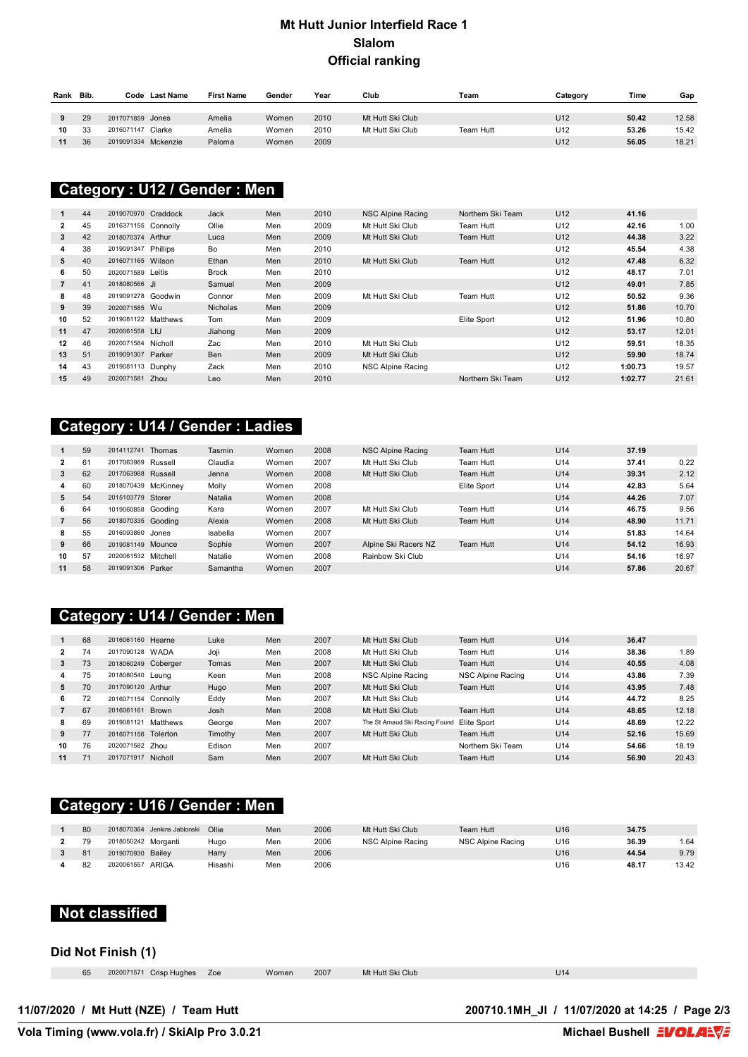#### **Mt Hutt Junior Interfield Race 1 Slalom Official ranking**

| Rank | Bib. | Code                | <b>Last Name</b> | <b>First Name</b> | Gender | Year | Club             | Team      | Category        | Time  | Gap   |
|------|------|---------------------|------------------|-------------------|--------|------|------------------|-----------|-----------------|-------|-------|
|      |      |                     |                  |                   |        |      |                  |           |                 |       |       |
|      | 29   | 2017071859 Jones    |                  | Amelia            | Women  | 2010 | Mt Hutt Ski Club |           | U <sub>12</sub> | 50.42 | 12.58 |
| 10   | 33   | 2016071147          | Clarke           | Amelia            | Women  | 2010 | Mt Hutt Ski Club | Team Hutt | U <sub>12</sub> | 53.26 | 15.42 |
| 11   | 36   | 2019091334 Mckenzie |                  | Paloma            | Women  | 2009 |                  |           | U <sub>12</sub> | 56.05 | 18.21 |

#### **Category : U12 / Gender : Men**

|    | 44 | 2019070970 Craddock |          | Jack            | Men | 2010 | NSC Alpine Racing | Northern Ski Team | U <sub>12</sub> | 41.16   |       |
|----|----|---------------------|----------|-----------------|-----|------|-------------------|-------------------|-----------------|---------|-------|
| 2  | 45 | 2016371155 Connolly |          | Ollie           | Men | 2009 | Mt Hutt Ski Club  | Team Hutt         | U <sub>12</sub> | 42.16   | 1.00  |
| 3  | 42 | 2018070374          | Arthur   | Luca            | Men | 2009 | Mt Hutt Ski Club  | Team Hutt         | U <sub>12</sub> | 44.38   | 3.22  |
| 4  | 38 | 2019091347          | Phillips | Bo              | Men | 2010 |                   |                   | U <sub>12</sub> | 45.54   | 4.38  |
| 5  | 40 | 2016071165 Wilson   |          | Ethan           | Men | 2010 | Mt Hutt Ski Club  | Team Hutt         | U <sub>12</sub> | 47.48   | 6.32  |
| 6  | 50 | 2020071589          | Leitis   | <b>Brock</b>    | Men | 2010 |                   |                   | U <sub>12</sub> | 48.17   | 7.01  |
|    | 41 | 2018080566 Ji       |          | Samuel          | Men | 2009 |                   |                   | U <sub>12</sub> | 49.01   | 7.85  |
| 8  | 48 | 2019091278 Goodwin  |          | Connor          | Men | 2009 | Mt Hutt Ski Club  | Team Hutt         | U <sub>12</sub> | 50.52   | 9.36  |
| 9  | 39 | 2020071585 Wu       |          | <b>Nicholas</b> | Men | 2009 |                   |                   | U <sub>12</sub> | 51.86   | 10.70 |
| 10 | 52 | 2019081122 Matthews |          | Tom             | Men | 2009 |                   | Elite Sport       | U <sub>12</sub> | 51.96   | 10.80 |
| 11 | 47 | 2020061558 LIU      |          | Jiahong         | Men | 2009 |                   |                   | U <sub>12</sub> | 53.17   | 12.01 |
| 12 | 46 | 2020071584          | Nicholl  | Zac             | Men | 2010 | Mt Hutt Ski Club  |                   | U <sub>12</sub> | 59.51   | 18.35 |
| 13 | 51 | 2019091307 Parker   |          | <b>Ben</b>      | Men | 2009 | Mt Hutt Ski Club  |                   | U <sub>12</sub> | 59.90   | 18.74 |
| 14 | 43 | 2019081113 Dunphy   |          | Zack            | Men | 2010 | NSC Alpine Racing |                   | U <sub>12</sub> | 1:00.73 | 19.57 |
| 15 | 49 | 2020071581          | Zhou     | Leo             | Men | 2010 |                   | Northern Ski Team | U <sub>12</sub> | 1:02.77 | 21.61 |

## **Category : U14 / Gender : Ladies**

|              | 59 | 2014112741         | Thomas   | Tasmin   | Women | 2008 | NSC Alpine Racing    | Team Hutt   | U <sub>14</sub> | 37.19 |       |
|--------------|----|--------------------|----------|----------|-------|------|----------------------|-------------|-----------------|-------|-------|
| $\mathbf{2}$ | 61 | 2017063989         | Russell  | Claudia  | Women | 2007 | Mt Hutt Ski Club     | Team Hutt   | U14             | 37.41 | 0.22  |
| 3            | 62 | 2017063988 Russell |          | Jenna    | Women | 2008 | Mt Hutt Ski Club     | Team Hutt   | U <sub>14</sub> | 39.31 | 2.12  |
| 4            | 60 | 2018070439         | McKinnev | Molly    | Women | 2008 |                      | Elite Sport | U14             | 42.83 | 5.64  |
| 5            | 54 | 2015103779         | Storer   | Natalia  | Women | 2008 |                      |             | U <sub>14</sub> | 44.26 | 7.07  |
| 6            | 64 | 1019060858         | Goodina  | Kara     | Women | 2007 | Mt Hutt Ski Club     | Team Hutt   | U14             | 46.75 | 9.56  |
|              | 56 | 2018070335 Gooding |          | Alexia   | Women | 2008 | Mt Hutt Ski Club     | Team Hutt   | U <sub>14</sub> | 48.90 | 11.71 |
| 8            | 55 | 2016093860         | Jones    | Isabella | Women | 2007 |                      |             | U14             | 51.83 | 14.64 |
| 9            | 66 | 2019081149 Mounce  |          | Sophie   | Women | 2007 | Alpine Ski Racers NZ | Team Hutt   | U <sub>14</sub> | 54.12 | 16.93 |
| 10           | 57 | 2020061532         | Mitchell | Natalie  | Women | 2008 | Rainbow Ski Club     |             | U14             | 54.16 | 16.97 |
| 11           | 58 | 2019091306 Parker  |          | Samantha | Women | 2007 |                      |             | U14             | 57.86 | 20.67 |

## **Category : U14 / Gender : Men**

|              | 68 | 2016061160 Hearne   |              | Luke    | Men | 2007 | Mt Hutt Ski Club               | Team Hutt         | U <sub>14</sub> | 36.47 |       |
|--------------|----|---------------------|--------------|---------|-----|------|--------------------------------|-------------------|-----------------|-------|-------|
| $\mathbf{2}$ | 74 | 2017090128          | WADA         | Joji    | Men | 2008 | Mt Hutt Ski Club               | Team Hutt         | U14             | 38.36 | 1.89  |
| 3            | 73 | 2018060249 Coberger |              | Tomas   | Men | 2007 | Mt Hutt Ski Club               | Team Hutt         | U <sub>14</sub> | 40.55 | 4.08  |
| 4            | 75 | 2018080540          | Leuna        | Keen    | Men | 2008 | NSC Alpine Racing              | NSC Alpine Racing | U14             | 43.86 | 7.39  |
| 5            | 70 | 2017090120 Arthur   |              | Hugo    | Men | 2007 | Mt Hutt Ski Club               | Team Hutt         | U <sub>14</sub> | 43.95 | 7.48  |
| 6            | 72 | 2016071154          | Connolly     | Eddy    | Men | 2007 | Mt Hutt Ski Club               |                   | U <sub>14</sub> | 44.72 | 8.25  |
|              | 67 | 2016061161          | <b>Brown</b> | Josh    | Men | 2008 | Mt Hutt Ski Club               | Team Hutt         | U <sub>14</sub> | 48.65 | 12.18 |
| 8            | 69 | 2019081121          | Matthews     | George  | Men | 2007 | The St Arnaud Ski Racing Found | Elite Sport       | U14             | 48.69 | 12.22 |
| 9            | 77 | 2016071156          | Tolerton     | Timothy | Men | 2007 | Mt Hutt Ski Club               | Team Hutt         | U14             | 52.16 | 15.69 |
| 10           | 76 | 2020071582          | Zhou         | Edison  | Men | 2007 |                                | Northern Ski Team | U14             | 54.66 | 18.19 |
| 11           | 71 | 2017071917 Nicholl  |              | Sam     | Men | 2007 | Mt Hutt Ski Club               | Team Hutt         | U <sub>14</sub> | 56.90 | 20.43 |

# **Category : U16 / Gender : Men**

| 80 | Jenkins Jablonski<br>2018070364 | Ollie   | Men | 2006 | Mt Hutt Ski Club  | Team Hutt         | U <sub>16</sub> | 34.75 |       |
|----|---------------------------------|---------|-----|------|-------------------|-------------------|-----------------|-------|-------|
| 79 | 2018050242 Morganti             | Hugo    | Men | 2006 | NSC Alpine Racing | NSC Alpine Racing | U16             | 36.39 | 1.64  |
| 81 | 2019070930 Bailey               | Harry   | Men | 2006 |                   |                   | U <sub>16</sub> | 44.54 | 9.79  |
| 82 | ARIGA<br>2020061557             | Hisashi | Men | 2006 |                   |                   | U16             | 48.17 | 13.42 |

#### **Not classified**

#### **Did Not Finish (1)**

2020071571 Crisp Hughes Zoe Women 2007 Mt Hutt Ski Club U14

**11/07/2020 / Mt Hutt (NZE) / Team Hutt 200710.1MH\_JI / 11/07/2020 at 14:25 / Page 2/3**

**Vola Timing (www.vola.fr) / SkiAlp Pro 3.0.21**